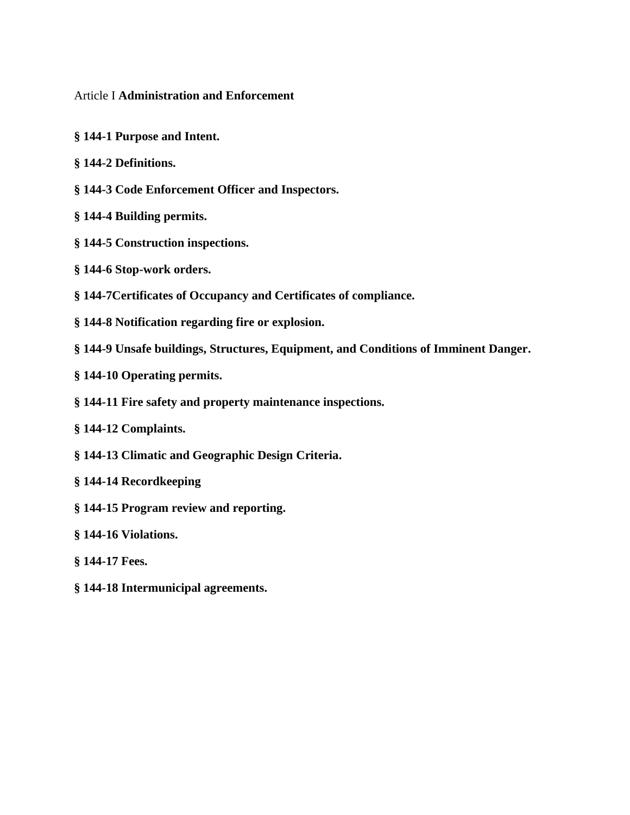#### Article I **[Administration and Enforcement](https://ecode360.com/13202933)**

- **§ 144-1 Purpose [and Intent.](https://ecode360.com/13202932#13202934)**
- **§ 144-2 [Definitions.](https://ecode360.com/13202932#13202938)**
- **§ 144-3 [Code Enforcement Officer](https://ecode360.com/13202932#13202948) and Inspectors.**
- **§ 144-4 [Building permits.](https://ecode360.com/13202932#13202954)**
- **§ 144-5 [Construction inspections.](https://ecode360.com/13202932#13202958)**
- **§ 144-6 [Stop-work orders.](https://ecode360.com/13202932#13202962)**
- **§ [144-7Certificates of Occupancy](https://ecode360.com/13202932#13202965) and Certificates of compliance.**
- **§ 144-8 [Notification regarding fire or explosion.](https://ecode360.com/13202932#13202966)**
- **§ 144-9 Unsafe buildings, [Structures, Equipment, and Conditions of Imminent Danger.](https://ecode360.com/13202932#13202967)**
- **§ 144-10 [Operating permits.](https://ecode360.com/13202932#13202968)**
- **§ 144-11 Fire [safety and property maintenance inspections.](https://ecode360.com/13202932#13327922)**
- **§ 144-12 [Complaints.](https://ecode360.com/13202932#13327923)**
- **§ 144-13 [Climatic and Geographic Design Criteria.](https://ecode360.com/13202932#13327924)**
- **§ 144-14 Recordkeeping**
- **§ [144-15 Program review and reporting.](https://ecode360.com/13202932#13327925)**
- **§ [144-16 Violations.](https://ecode360.com/13202932#13327926)**
- **§ [144-17 Fees.](https://ecode360.com/13202932#13327927)**
- **§ [144-18 Intermunicipal agreements.](https://ecode360.com/13202932#13327927)**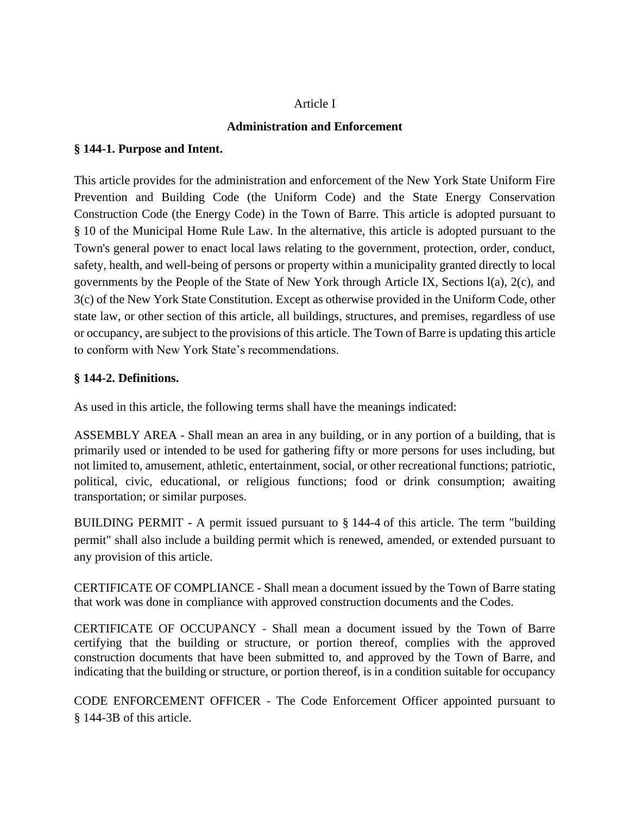### [Article I](https://ecode360.com/13202933)

## **Administration and Enforcement**

### **§ [144-1. Purpose and Intent.](https://ecode360.com/13202932#13202934)**

This article provides for the administration and enforcement of the New York State Uniform Fire Prevention and Building Code (the Uniform Code) and the State Energy Conservation Construction Code (the Energy Code) in the Town of Barre. This article is adopted pursuant to § 10 of the Municipal Home Rule Law. In the alternative, this article is adopted pursuant to the Town's general power to enact local laws relating to the government, protection, order, conduct, safety, health, and well-being of persons or property within a municipality granted directly to local governments by the People of the State of New York through Article IX, Sections l(a), 2(c), and 3(c) of the New York State Constitution. Except as otherwise provided in the Uniform Code, other state law, or other section of this article, all buildings, structures, and premises, regardless of use or occupancy, are subject to the provisions of this article. The Town of Barre is updating this article to conform with New York State's recommendations.

## **§ 144-2. [Definitions.](https://ecode360.com/13202932#13202938)**

As used in this article, the following terms shall have the meanings indicated:

ASSEMBLY AREA - Shall mean an area in any building, or in any portion of a building, that is primarily used or intended to be used for gathering fifty or more persons for uses including, but not limited to, amusement, athletic, entertainment, social, or other recreational functions; patriotic, political, civic, educational, or religious functions; food or drink consumption; awaiting transportation; or similar purposes.

[BUILDING PERMIT](https://ecode360.com/13327727#13327727) **-** A permit issued pursuant to § [144-4](https://ecode360.com/13202954#13202954) of this article. The term "building permit" shall also include a building permit which is renewed, amended, or extended pursuant to any provision of this article.

CERTIFICATE OF COMPLIANCE - Shall mean a document issued by the Town of Barre stating that work was done in compliance with approved construction documents and the Codes.

CERTIFICATE OF OCCUPANCY - Shall mean a document issued by the Town of Barre certifying that the building or structure, or portion thereof, complies with the approved construction documents that have been submitted to, and approved by the Town of Barre, and indicating that the building or structure, or portion thereof, is in a condition suitable for occupancy

[CODE ENFORCEMENT OFFICER](https://ecode360.com/13327729#13327729) - The Code Enforcement Officer appointed pursuant to § [144-3B](https://ecode360.com/13202950#13202950) of this article.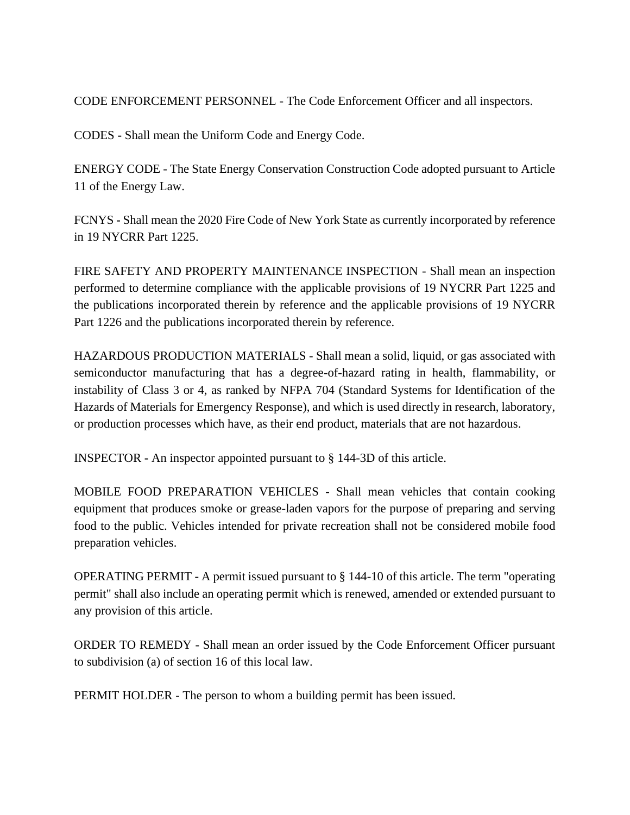[CODE ENFORCEMENT PERSONNEL](https://ecode360.com/13327730#13327730) - The Code Enforcement Officer and all inspectors.

CODES **-** Shall mean the Uniform Code and Energy Code.

[ENERGY CODE](https://ecode360.com/13327732#13327732) - The State Energy Conservation Construction Code adopted pursuant to Article 11 of the Energy Law.

FCNYS **-** Shall mean the 2020 Fire Code of New York State as currently incorporated by reference in 19 NYCRR Part 1225.

FIRE SAFETY AND PROPERTY MAINTENANCE INSPECTION - Shall mean an inspection performed to determine compliance with the applicable provisions of 19 NYCRR Part 1225 and the publications incorporated therein by reference and the applicable provisions of 19 NYCRR Part 1226 and the publications incorporated therein by reference.

HAZARDOUS PRODUCTION MATERIALS - Shall mean a solid, liquid, or gas associated with semiconductor manufacturing that has a degree-of-hazard rating in health, flammability, or instability of Class 3 or 4, as ranked by NFPA 704 (Standard Systems for Identification of the Hazards of Materials for Emergency Response), and which is used directly in research, laboratory, or production processes which have, as their end product, materials that are not hazardous.

[INSPECTOR](https://ecode360.com/13327733#13327733) **-** An inspector appointed pursuant to § [144-3D](https://ecode360.com/13202952#13202952) of this article.

MOBILE FOOD PREPARATION VEHICLES - Shall mean vehicles that contain cooking equipment that produces smoke or grease-laden vapors for the purpose of preparing and serving food to the public. Vehicles intended for private recreation shall not be considered mobile food preparation vehicles.

[OPERATING PERMIT](https://ecode360.com/13327734#13327734) **-** A permit issued pursuant to § [144-10](https://ecode360.com/13202968#13202968) of this article. The term "operating permit" shall also include an operating permit which is renewed, amended or extended pursuant to any provision of this article.

ORDER TO REMEDY - Shall mean an order issued by the Code Enforcement Officer pursuant to subdivision (a) of section 16 of this local law.

[PERMIT HOLDER](https://ecode360.com/13327735#13327735) - The person to whom a building permit has been issued.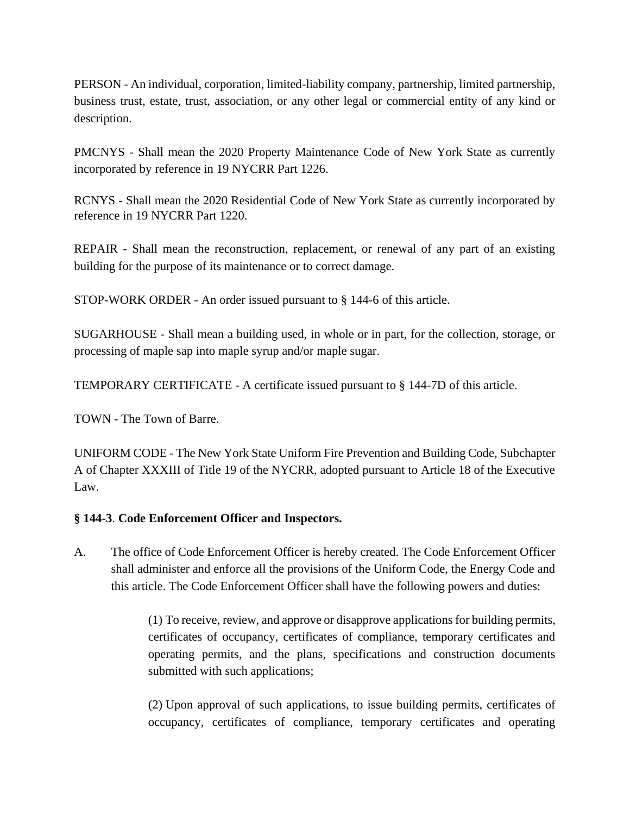[PERSON](https://ecode360.com/13327736#13327736) - An individual, corporation, limited-liability company, partnership, limited partnership, business trust, estate, trust, association, or any other legal or commercial entity of any kind or description.

PMCNYS - Shall mean the 2020 Property Maintenance Code of New York State as currently incorporated by reference in 19 NYCRR Part 1226.

RCNYS - Shall mean the 2020 Residential Code of New York State as currently incorporated by reference in 19 NYCRR Part 1220.

REPAIR - Shall mean the reconstruction, replacement, or renewal of any part of an existing building for the purpose of its maintenance or to correct damage.

[STOP-WORK ORDER](https://ecode360.com/13327737#13327737) - An order issued pursuant to § [144-6](https://ecode360.com/13202962#13202962) of this article.

SUGARHOUSE - Shall mean a building used, in whole or in part, for the collection, storage, or processing of maple sap into maple syrup and/or maple sugar.

[TEMPORARY CERTIFICATE](https://ecode360.com/13327738#13327738) - A certificate issued pursuant to § [144-7D](https://ecode360.com/13327862#13327862) of this article.

[TOWN](https://ecode360.com/13327739#13327739) - The Town of Barre.

[UNIFORM CODE](https://ecode360.com/13327740#13327740) - The New York State Uniform Fire Prevention and Building Code, Subchapter A of Chapter XXXIII of Title 19 of the NYCRR, adopted pursuant to Article 18 of the Executive Law.

### **§ 144-3**. **[Code Enforcement Officer and](https://ecode360.com/13202932#13202948) Inspectors.**

[A.](https://ecode360.com/13202949#13202949) The office of Code Enforcement Officer is hereby created. The Code Enforcement Officer shall administer and enforce all the provisions of the Uniform Code, the Energy Code and this article. The Code Enforcement Officer shall have the following powers and duties:

> [\(1\)](https://ecode360.com/13327754#13327754) To receive, review, and approve or disapprove applications for building permits, certificates of occupancy, certificates of compliance, temporary certificates and operating permits, and the plans, specifications and construction documents submitted with such applications;

> [\(2\)](https://ecode360.com/13327755#13327755) Upon approval of such applications, to issue building permits, certificates of occupancy, certificates of compliance, temporary certificates and operating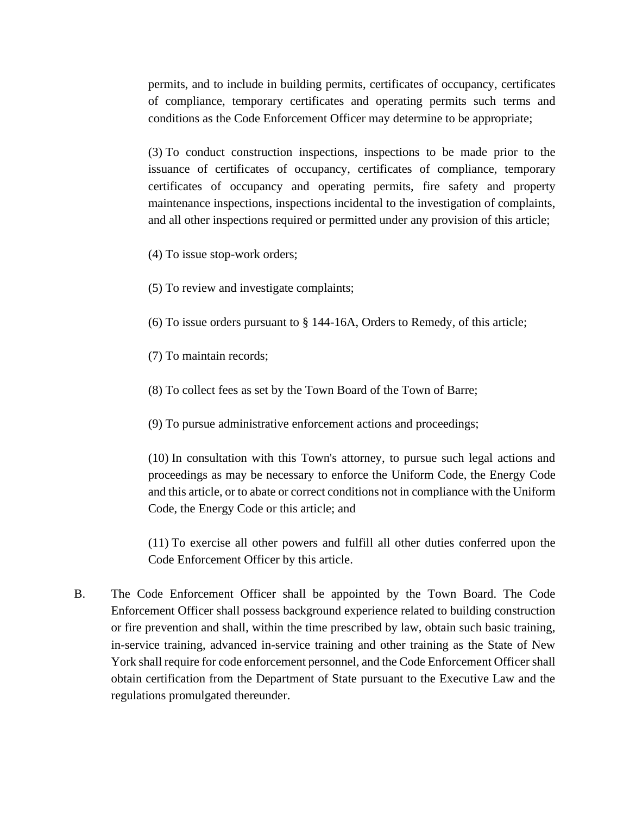permits, and to include in building permits, certificates of occupancy, certificates of compliance, temporary certificates and operating permits such terms and conditions as the Code Enforcement Officer may determine to be appropriate;

[\(3\)](https://ecode360.com/13327756#13327756) To conduct construction inspections, inspections to be made prior to the issuance of certificates of occupancy, certificates of compliance, temporary certificates of occupancy and operating permits, fire safety and property maintenance inspections, inspections incidental to the investigation of complaints, and all other inspections required or permitted under any provision of this article;

[\(4\)](https://ecode360.com/13327757#13327757) To issue stop-work orders;

[\(5\)](https://ecode360.com/13327758#13327758) To review and investigate complaints;

[\(6\)](https://ecode360.com/13327759#13327759) To issue orders pursuant to § [144-16A](https://ecode360.com/13327957#13327957), Orders to Remedy, of this article;

[\(7\)](https://ecode360.com/13327760#13327760) To maintain records;

[\(8\)](https://ecode360.com/13327761#13327761) To collect fees as set by the Town Board of the Town of Barre;

[\(9\)](https://ecode360.com/13327762#13327762) To pursue administrative enforcement actions and proceedings;

[\(10\)](https://ecode360.com/13327763#13327763) In consultation with this Town's attorney, to pursue such legal actions and proceedings as may be necessary to enforce the Uniform Code, the Energy Code and this article, or to abate or correct conditions not in compliance with the Uniform Code, the Energy Code or this article; and

[\(11\)](https://ecode360.com/13327764#13327764) To exercise all other powers and fulfill all other duties conferred upon the Code Enforcement Officer by this article.

B. The Code Enforcement Officer shall be appointed by the Town Board. The Code Enforcement Officer shall possess background experience related to building construction or fire prevention and shall, within the time prescribed by law, obtain such basic training, in-service training, advanced in-service training and other training as the State of New York shall require for code enforcement personnel, and the Code Enforcement Officer shall obtain certification from the Department of State pursuant to the Executive Law and the regulations promulgated thereunder.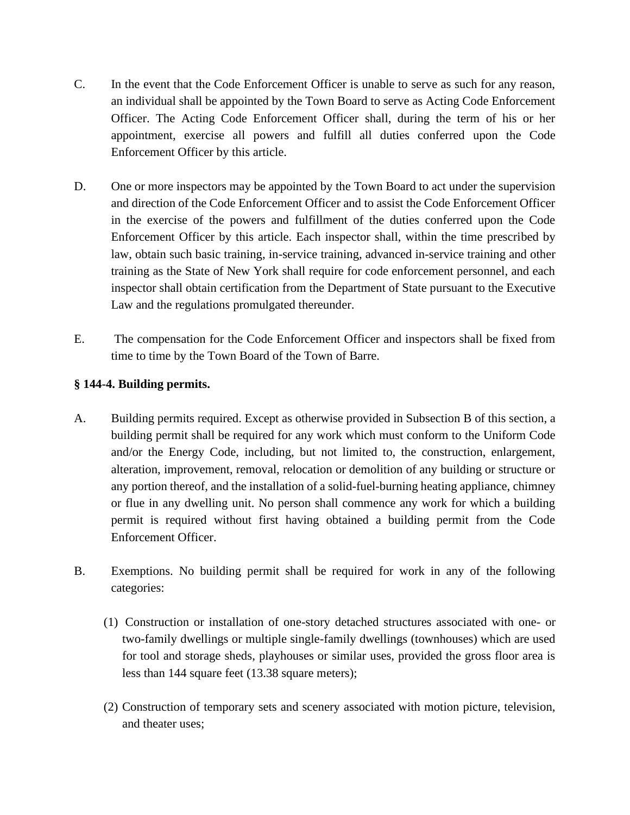- [C.](https://ecode360.com/13202951#13202951) In the event that the Code Enforcement Officer is unable to serve as such for any reason, an individual shall be appointed by the Town Board to serve as Acting Code Enforcement Officer. The Acting Code Enforcement Officer shall, during the term of his or her appointment, exercise all powers and fulfill all duties conferred upon the Code Enforcement Officer by this article.
- [D.](https://ecode360.com/13202952#13202952) One or more inspectors may be appointed by the Town Board to act under the supervision and direction of the Code Enforcement Officer and to assist the Code Enforcement Officer in the exercise of the powers and fulfillment of the duties conferred upon the Code Enforcement Officer by this article. Each inspector shall, within the time prescribed by law, obtain such basic training, in-service training, advanced in-service training and other training as the State of New York shall require for code enforcement personnel, and each inspector shall obtain certification from the Department of State pursuant to the Executive Law and the regulations promulgated thereunder.
- [E.](https://ecode360.com/13202953#13202953) The compensation for the Code Enforcement Officer and inspectors shall be fixed from time to time by the Town Board of the Town of Barre.

### **§ 144-4. [Building permits.](https://ecode360.com/13202932#13202954)**

- [A.](https://ecode360.com/13202955#13202955) Building permits required. Except as otherwise provided in Subsection [B](https://ecode360.com/13202956#13202956) of this section, a building permit shall be required for any work which must conform to the Uniform Code and/or the Energy Code, including, but not limited to, the construction, enlargement, alteration, improvement, removal, relocation or demolition of any building or structure or any portion thereof, and the installation of a solid-fuel-burning heating appliance, chimney or flue in any dwelling unit. No person shall commence any work for which a building permit is required without first having obtained a building permit from the Code Enforcement Officer.
- [B.](https://ecode360.com/13202956#13202956) Exemptions. No building permit shall be required for work in any of the following categories:
	- (1) [C](https://ecode360.com/13327766#13327766)onstruction or installation of one-story detached structures associated with one- or two-family dwellings or multiple single-family dwellings (townhouses) which are used for tool and storage sheds, playhouses or similar uses, provided the gross floor area is less than 144 square feet (13.38 square meters);
	- (2) Construction of temporary sets and scenery associated with motion picture, television, and theater uses;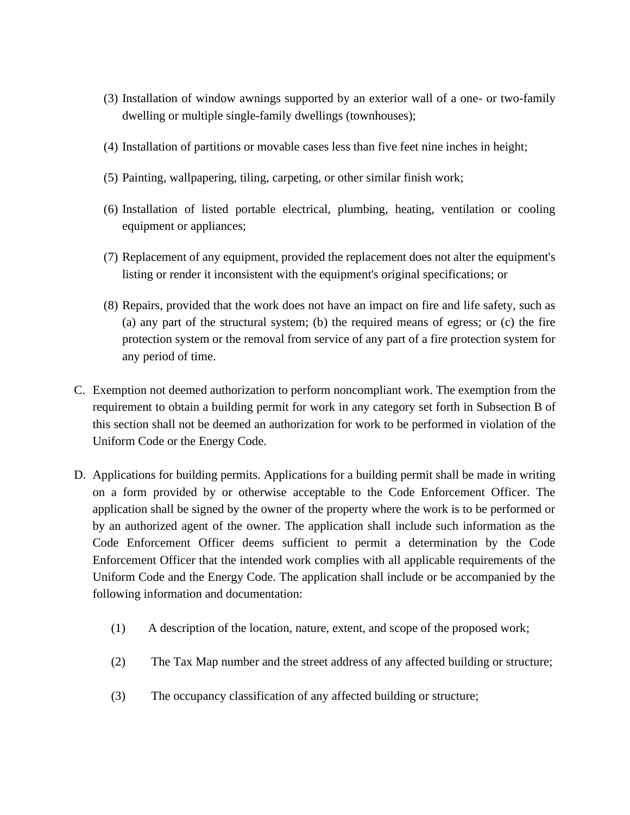- (3) Installation of window awnings supported by an exterior wall of a one- or two-family dwelling or multiple single-family dwellings (townhouses);
- (4) Installation of partitions or movable cases less than five feet nine inches in height;
- (5) Painting, wallpapering, tiling, carpeting, or other similar finish work;
- (6) Installation of listed portable electrical, plumbing, heating, ventilation or cooling equipment or appliances;
- (7) Replacement of any equipment, provided the replacement does not alter the equipment's listing or render it inconsistent with the equipment's original specifications; or
- (8) Repairs, provided that the work does not have an impact on fire and life safety, such as (a) any part of the structural system; (b) the required means of egress; or (c) the fire protection system or the removal from service of any part of a fire protection system for any period of time.
- [C.](https://ecode360.com/13202957#13202957) Exemption not deemed authorization to perform noncompliant work. The exemption from the requirement to obtain a building permit for work in any category set forth in Subsection [B](https://ecode360.com/13202956#13202956) of this section shall not be deemed an authorization for work to be performed in violation of the Uniform Code or the Energy Code.
- [D.](https://ecode360.com/13327782#13327782) Applications for building permits. Applications for a building permit shall be made in writing on a form provided by or otherwise acceptable to the Code Enforcement Officer. The application shall be signed by the owner of the property where the work is to be performed or by an authorized agent of the owner. The application shall include such information as the Code Enforcement Officer deems sufficient to permit a determination by the Code Enforcement Officer that the intended work complies with all applicable requirements of the Uniform Code and the Energy Code. The application shall include or be accompanied by the following information and documentation:
	- [\(1\)](https://ecode360.com/13327783#13327783) A description of the location, nature, extent, and scope of the proposed work;
	- (2) The Tax Map number and the street address of any affected building or structure;
	- [\(3\)](https://ecode360.com/13327785#13327785) The occupancy classification of any affected building or structure;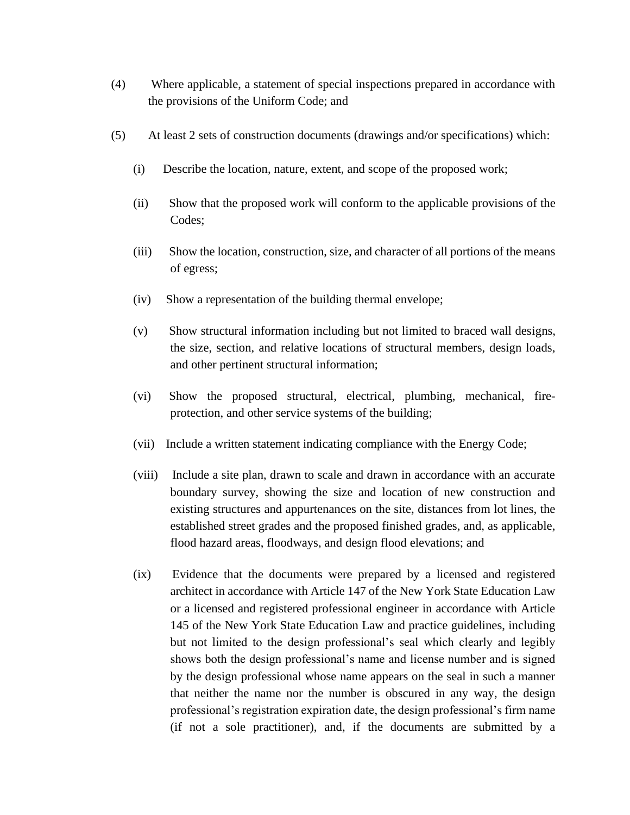- [\(4\)](https://ecode360.com/13327786#13327786) Where applicable, a statement of special inspections prepared in accordance with the provisions of the Uniform Code; and
- [\(5\)](https://ecode360.com/13327787#13327787) At least 2 sets of construction documents (drawings and/or specifications) which:
	- (i) Describe the location, nature, extent, and scope of the proposed work;
	- (ii) Show that the proposed work will conform to the applicable provisions of the Codes;
	- (iii) Show the location, construction, size, and character of all portions of the means of egress;
	- (iv) Show a representation of the building thermal envelope;
	- (v) Show structural information including but not limited to braced wall designs, the size, section, and relative locations of structural members, design loads, and other pertinent structural information;
	- (vi) Show the proposed structural, electrical, plumbing, mechanical, fireprotection, and other service systems of the building;
	- (vii) Include a written statement indicating compliance with the Energy Code;
	- (viii) Include a site plan, drawn to scale and drawn in accordance with an accurate boundary survey, showing the size and location of new construction and existing structures and appurtenances on the site, distances from lot lines, the established street grades and the proposed finished grades, and, as applicable, flood hazard areas, floodways, and design flood elevations; and
	- (ix) Evidence that the documents were prepared by a licensed and registered architect in accordance with Article 147 of the New York State Education Law or a licensed and registered professional engineer in accordance with Article 145 of the New York State Education Law and practice guidelines, including but not limited to the design professional's seal which clearly and legibly shows both the design professional's name and license number and is signed by the design professional whose name appears on the seal in such a manner that neither the name nor the number is obscured in any way, the design professional's registration expiration date, the design professional's firm name (if not a sole practitioner), and, if the documents are submitted by a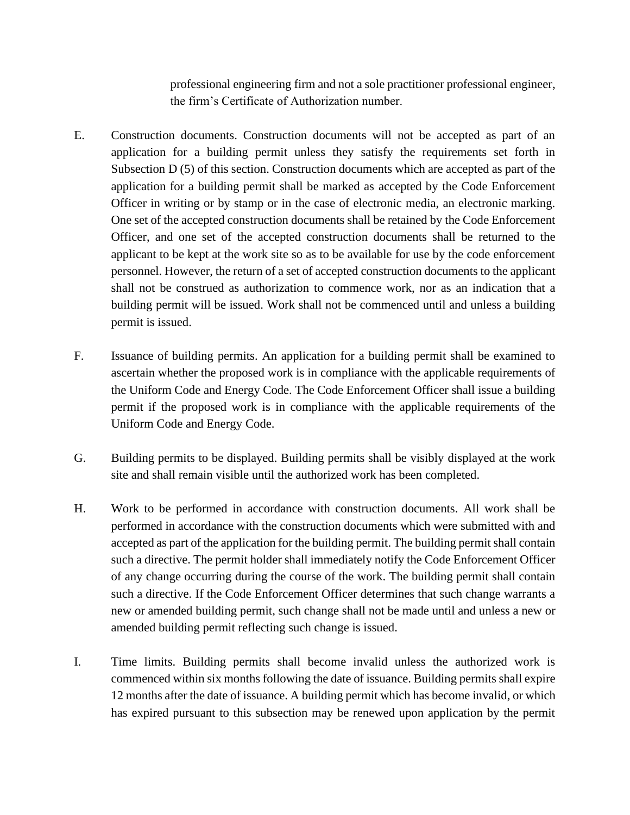professional engineering firm and not a sole practitioner professional engineer, the firm's Certificate of Authorization number.

- [E.](https://ecode360.com/13327793#13327793) Construction documents. Construction documents will not be accepted as part of an application for a building permit unless they satisfy the requirements set forth in Subsection D [\(5\)](https://ecode360.com/13327787#13327787) of this section. Construction documents which are accepted as part of the application for a building permit shall be marked as accepted by the Code Enforcement Officer in writing or by stamp or in the case of electronic media, an electronic marking. One set of the accepted construction documents shall be retained by the Code Enforcement Officer, and one set of the accepted construction documents shall be returned to the applicant to be kept at the work site so as to be available for use by the code enforcement personnel. However, the return of a set of accepted construction documents to the applicant shall not be construed as authorization to commence work, nor as an indication that a building permit will be issued. Work shall not be commenced until and unless a building permit is issued.
- [F.](https://ecode360.com/13327794#13327794) Issuance of building permits. An application for a building permit shall be examined to ascertain whether the proposed work is in compliance with the applicable requirements of the Uniform Code and Energy Code. The Code Enforcement Officer shall issue a building permit if the proposed work is in compliance with the applicable requirements of the Uniform Code and Energy Code.
- [G.](https://ecode360.com/13327795#13327795) Building permits to be displayed. Building permits shall be visibly displayed at the work site and shall remain visible until the authorized work has been completed.
- [H.](https://ecode360.com/13327796#13327796) Work to be performed in accordance with construction documents. All work shall be performed in accordance with the construction documents which were submitted with and accepted as part of the application for the building permit. The building permit shall contain such a directive. The permit holder shall immediately notify the Code Enforcement Officer of any change occurring during the course of the work. The building permit shall contain such a directive. If the Code Enforcement Officer determines that such change warrants a new or amended building permit, such change shall not be made until and unless a new or amended building permit reflecting such change is issued.
- [I.](https://ecode360.com/13327797#13327797) Time limits. Building permits shall become invalid unless the authorized work is commenced within six months following the date of issuance. Building permits shall expire 12 months after the date of issuance. A building permit which has become invalid, or which has expired pursuant to this subsection may be renewed upon application by the permit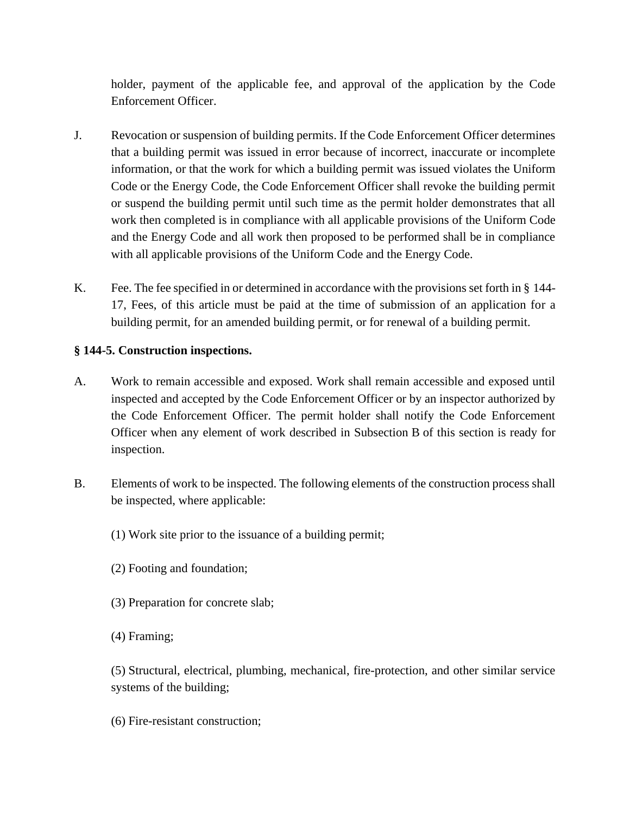holder, payment of the applicable fee, and approval of the application by the Code Enforcement Officer.

- [J.](https://ecode360.com/13327798#13327798) Revocation or suspension of building permits. If the Code Enforcement Officer determines that a building permit was issued in error because of incorrect, inaccurate or incomplete information, or that the work for which a building permit was issued violates the Uniform Code or the Energy Code, the Code Enforcement Officer shall revoke the building permit or suspend the building permit until such time as the permit holder demonstrates that all work then completed is in compliance with all applicable provisions of the Uniform Code and the Energy Code and all work then proposed to be performed shall be in compliance with all applicable provisions of the Uniform Code and the Energy Code.
- [K.](https://ecode360.com/13327799#13327799) Fee. The fee specified in or determined in accordance with the provisions set forth in § [144-](https://ecode360.com/13327927#13327927) [17](https://ecode360.com/13327927#13327927), Fees, of this article must be paid at the time of submission of an application for a building permit, for an amended building permit, or for renewal of a building permit.

### **§ 144-5. [Construction inspections.](https://ecode360.com/13202932#13202958)**

- [A.](https://ecode360.com/13202959#13202959) Work to remain accessible and exposed. Work shall remain accessible and exposed until inspected and accepted by the Code Enforcement Officer or by an inspector authorized by the Code Enforcement Officer. The permit holder shall notify the Code Enforcement Officer when any element of work described in Subsection [B](https://ecode360.com/13202960#13202960) of this section is ready for inspection.
- [B.](https://ecode360.com/13202960#13202960) Elements of work to be inspected. The following elements of the construction process shall be inspected, where applicable:
	- [\(1\)](https://ecode360.com/13327808#13327808) Work site prior to the issuance of a building permit;
	- [\(2\)](https://ecode360.com/13327809#13327809) Footing and foundation;
	- [\(3\)](https://ecode360.com/13327810#13327810) Preparation for concrete slab;
	- [\(4\)](https://ecode360.com/13327811#13327811) Framing;

[\(5\)](https://ecode360.com/13327812#13327812) Structural, electrical, plumbing, mechanical, fire-protection, and other similar service systems of the building;

[\(6\)](https://ecode360.com/13327813#13327813) Fire-resistant construction;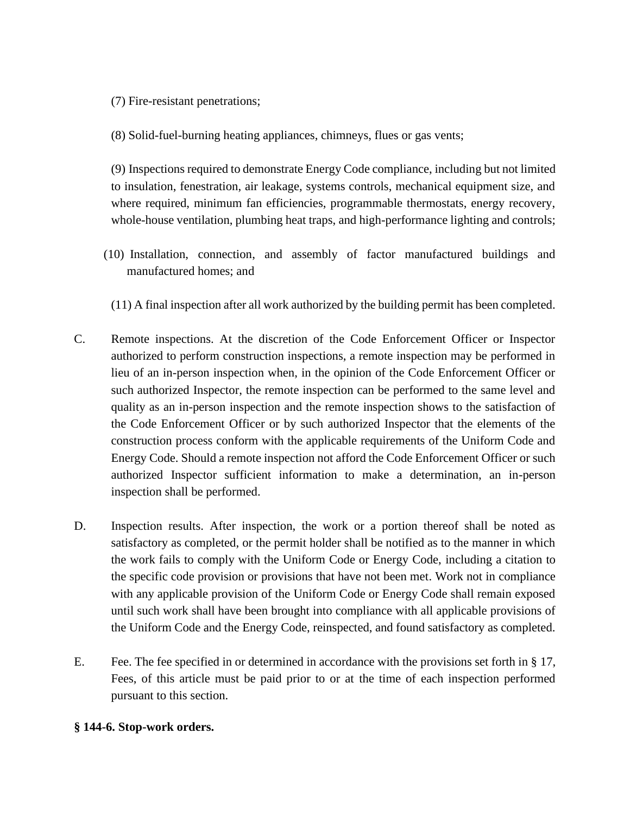- [\(7\)](https://ecode360.com/13327814#13327814) Fire-resistant penetrations;
- [\(8\)](https://ecode360.com/13327815#13327815) Solid-fuel-burning heating appliances, chimneys, flues or gas vents;

[\(9\)](https://ecode360.com/13327816#13327816) Inspections required to demonstrate Energy Code compliance, including but not limited to insulation, fenestration, air leakage, systems controls, mechanical equipment size, and where required, minimum fan efficiencies, programmable thermostats, energy recovery, whole-house ventilation, plumbing heat traps, and high-performance lighting and controls;

- (10) Installation, connection, and assembly of factor manufactured buildings and manufactured homes; and
	- (11) A final inspection after all work authorized by the building permit has been completed.
- [C.](https://ecode360.com/13202961#13202961) Remote inspections. At the discretion of the Code Enforcement Officer or Inspector authorized to perform construction inspections, a remote inspection may be performed in lieu of an in-person inspection when, in the opinion of the Code Enforcement Officer or such authorized Inspector, the remote inspection can be performed to the same level and quality as an in-person inspection and the remote inspection shows to the satisfaction of the Code Enforcement Officer or by such authorized Inspector that the elements of the construction process conform with the applicable requirements of the Uniform Code and Energy Code. Should a remote inspection not afford the Code Enforcement Officer or such authorized Inspector sufficient information to make a determination, an in-person inspection shall be performed.
- D. Inspection results. After inspection, the work or a portion thereof shall be noted as satisfactory as completed, or the permit holder shall be notified as to the manner in which the work fails to comply with the Uniform Code or Energy Code, including a citation to the specific code provision or provisions that have not been met. Work not in compliance with any applicable provision of the Uniform Code or Energy Code shall remain exposed until such work shall have been brought into compliance with all applicable provisions of the Uniform Code and the Energy Code, reinspected, and found satisfactory as completed.
- [E.](https://ecode360.com/13327818#13327818) Fee. The fee specified in or determined in accordance with the provisions set forth in § [17,](https://ecode360.com/13327927#13327927) Fees, of this article must be paid prior to or at the time of each inspection performed pursuant to this section.

### **§ 144-6. [Stop-work orders.](https://ecode360.com/13202932#13202962)**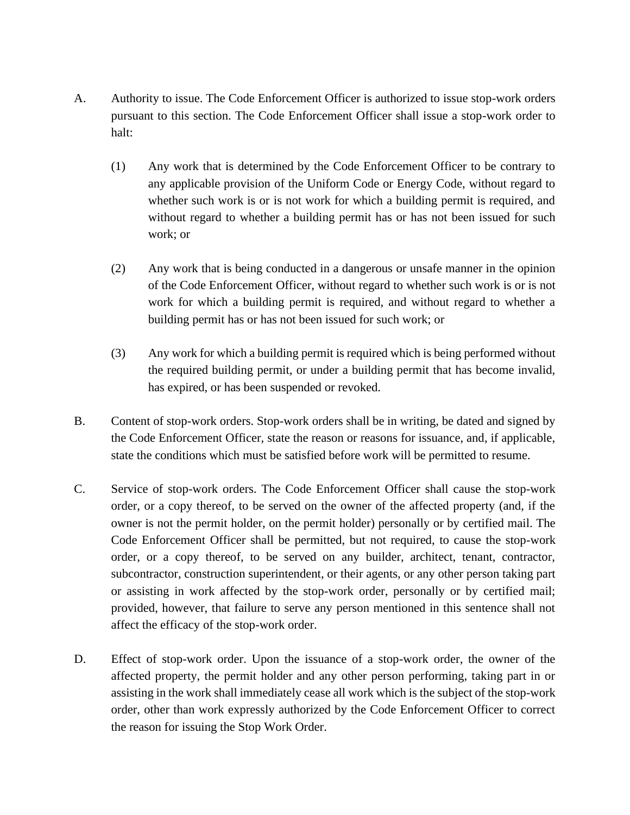- [A.](https://ecode360.com/13202963#13202963) Authority to issue. The Code Enforcement Officer is authorized to issue stop-work orders pursuant to this section. The Code Enforcement Officer shall issue a stop-work order to halt:
	- [\(1\)](https://ecode360.com/13327833#13327833) Any work that is determined by the Code Enforcement Officer to be contrary to any applicable provision of the Uniform Code or Energy Code, without regard to whether such work is or is not work for which a building permit is required, and without regard to whether a building permit has or has not been issued for such work; or
	- [\(2\)](https://ecode360.com/13327834#13327834) Any work that is being conducted in a dangerous or unsafe manner in the opinion of the Code Enforcement Officer, without regard to whether such work is or is not work for which a building permit is required, and without regard to whether a building permit has or has not been issued for such work; or
	- [\(3\)](https://ecode360.com/13327835#13327835) Any work for which a building permit is required which is being performed without the required building permit, or under a building permit that has become invalid, has expired, or has been suspended or revoked.
- [B.](https://ecode360.com/13202964#13202964) Content of stop-work orders. Stop-work orders shall be in writing, be dated and signed by the Code Enforcement Officer, state the reason or reasons for issuance, and, if applicable, state the conditions which must be satisfied before work will be permitted to resume.
- [C.](https://ecode360.com/13327836#13327836) Service of stop-work orders. The Code Enforcement Officer shall cause the stop-work order, or a copy thereof, to be served on the owner of the affected property (and, if the owner is not the permit holder, on the permit holder) personally or by certified mail. The Code Enforcement Officer shall be permitted, but not required, to cause the stop-work order, or a copy thereof, to be served on any builder, architect, tenant, contractor, subcontractor, construction superintendent, or their agents, or any other person taking part or assisting in work affected by the stop-work order, personally or by certified mail; provided, however, that failure to serve any person mentioned in this sentence shall not affect the efficacy of the stop-work order.
- [D.](https://ecode360.com/13327837#13327837) Effect of stop-work order. Upon the issuance of a stop-work order, the owner of the affected property, the permit holder and any other person performing, taking part in or assisting in the work shall immediately cease all work which is the subject of the stop-work order, other than work expressly authorized by the Code Enforcement Officer to correct the reason for issuing the Stop Work Order.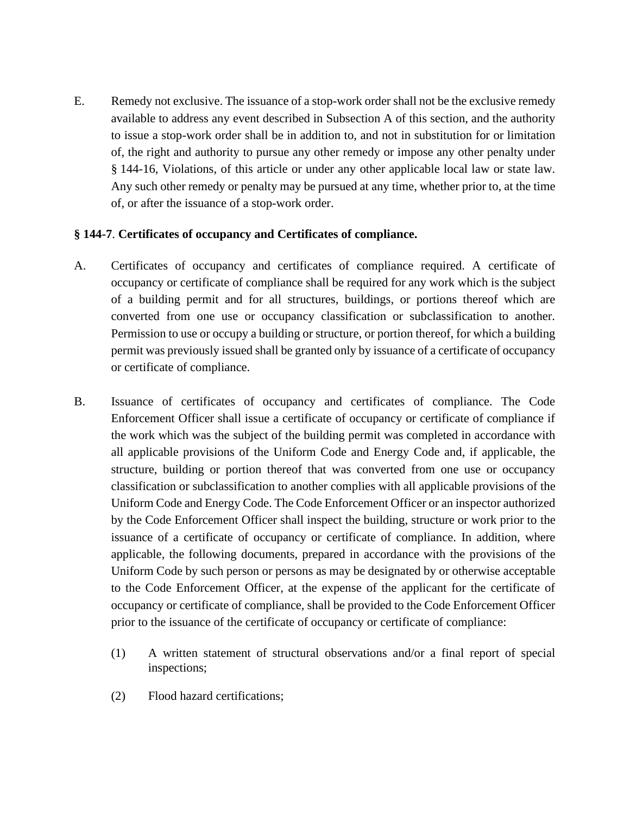[E.](https://ecode360.com/13327838#13327838) Remedy not exclusive. The issuance of a stop-work order shall not be the exclusive remedy available to address any event described in Subsection [A](https://ecode360.com/13202963#13202963) of this section, and the authority to issue a stop-work order shall be in addition to, and not in substitution for or limitation of, the right and authority to pursue any other remedy or impose any other penalty under § [144-16](https://ecode360.com/13327926#13327926), Violations, of this article or under any other applicable local law or state law. Any such other remedy or penalty may be pursued at any time, whether prior to, at the time of, or after the issuance of a stop-work order.

## **§ 144-7**. **[Certificates of occupancy and Certificates of compliance.](https://ecode360.com/13202932#13202965)**

- [A.](https://ecode360.com/13327847#13327847) Certificates of occupancy and certificates of compliance required. A certificate of occupancy or certificate of compliance shall be required for any work which is the subject of a building permit and for all structures, buildings, or portions thereof which are converted from one use or occupancy classification or subclassification to another. Permission to use or occupy a building or structure, or portion thereof, for which a building permit was previously issued shall be granted only by issuance of a certificate of occupancy or certificate of compliance.
- [B.](https://ecode360.com/13327848#13327848) Issuance of certificates of occupancy and certificates of compliance. The Code Enforcement Officer shall issue a certificate of occupancy or certificate of compliance if the work which was the subject of the building permit was completed in accordance with all applicable provisions of the Uniform Code and Energy Code and, if applicable, the structure, building or portion thereof that was converted from one use or occupancy classification or subclassification to another complies with all applicable provisions of the Uniform Code and Energy Code. The Code Enforcement Officer or an inspector authorized by the Code Enforcement Officer shall inspect the building, structure or work prior to the issuance of a certificate of occupancy or certificate of compliance. In addition, where applicable, the following documents, prepared in accordance with the provisions of the Uniform Code by such person or persons as may be designated by or otherwise acceptable to the Code Enforcement Officer, at the expense of the applicant for the certificate of occupancy or certificate of compliance, shall be provided to the Code Enforcement Officer prior to the issuance of the certificate of occupancy or certificate of compliance:
	- [\(1\)](https://ecode360.com/13327849#13327849) A written statement of structural observations and/or a final report of special inspections;
	- [\(2\)](https://ecode360.com/13327850#13327850) Flood hazard certifications;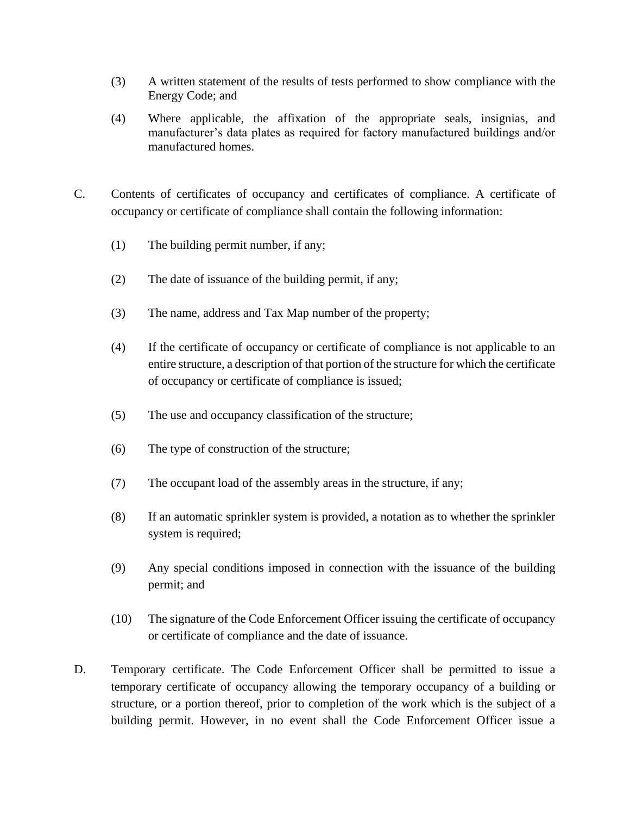- (3) A written statement of the results of tests performed to show compliance with the Energy Code; and
- (4) Where applicable, the affixation of the appropriate seals, insignias, and manufacturer's data plates as required for factory manufactured buildings and/or manufactured homes.
- [C.](https://ecode360.com/13327851#13327851) Contents of certificates of occupancy and certificates of compliance. A certificate of occupancy or certificate of compliance shall contain the following information:
	- (1) The building permit number, if any;
	- (2) The date of issuance of the building permit, if any;
	- [\(3\)](https://ecode360.com/13327854#13327854) The name, address and Tax Map number of the property;
	- [\(4\)](https://ecode360.com/13327855#13327855) If the certificate of occupancy or certificate of compliance is not applicable to an entire structure, a description of that portion of the structure for which the certificate of occupancy or certificate of compliance is issued;
	- [\(5\)](https://ecode360.com/13327856#13327856) The use and occupancy classification of the structure;
	- [\(6\)](https://ecode360.com/13327857#13327857) The type of construction of the structure;
	- [\(7\)](https://ecode360.com/13327858#13327858) The occupant load of the assembly areas in the structure, if any;
	- [\(8\)](https://ecode360.com/13327859#13327859) If an automatic sprinkler system is provided, a notation as to whether the sprinkler system is required;
	- [\(9\)](https://ecode360.com/13327860#13327860) Any special conditions imposed in connection with the issuance of the building permit; and
	- [\(10\)](https://ecode360.com/13327861#13327861) The signature of the Code Enforcement Officer issuing the certificate of occupancy or certificate of compliance and the date of issuance.
- [D.](https://ecode360.com/13327862#13327862) Temporary certificate. The Code Enforcement Officer shall be permitted to issue a temporary certificate of occupancy allowing the temporary occupancy of a building or structure, or a portion thereof, prior to completion of the work which is the subject of a building permit. However, in no event shall the Code Enforcement Officer issue a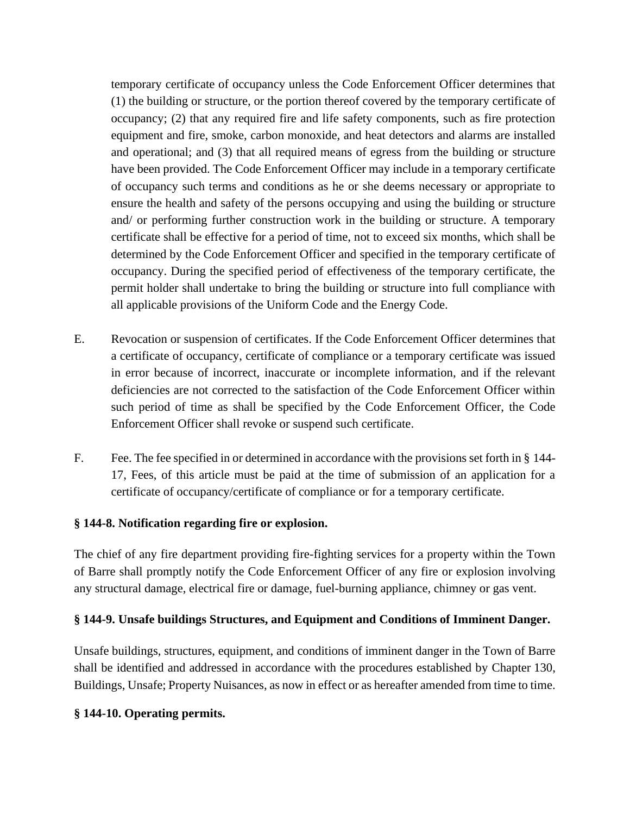temporary certificate of occupancy unless the Code Enforcement Officer determines that (1) the building or structure, or the portion thereof covered by the temporary certificate of occupancy; (2) that any required fire and life safety components, such as fire protection equipment and fire, smoke, carbon monoxide, and heat detectors and alarms are installed and operational; and (3) that all required means of egress from the building or structure have been provided. The Code Enforcement Officer may include in a temporary certificate of occupancy such terms and conditions as he or she deems necessary or appropriate to ensure the health and safety of the persons occupying and using the building or structure and/ or performing further construction work in the building or structure. A temporary certificate shall be effective for a period of time, not to exceed six months, which shall be determined by the Code Enforcement Officer and specified in the temporary certificate of occupancy. During the specified period of effectiveness of the temporary certificate, the permit holder shall undertake to bring the building or structure into full compliance with all applicable provisions of the Uniform Code and the Energy Code.

- [E.](https://ecode360.com/13327863#13327863) Revocation or suspension of certificates. If the Code Enforcement Officer determines that a certificate of occupancy, certificate of compliance or a temporary certificate was issued in error because of incorrect, inaccurate or incomplete information, and if the relevant deficiencies are not corrected to the satisfaction of the Code Enforcement Officer within such period of time as shall be specified by the Code Enforcement Officer, the Code Enforcement Officer shall revoke or suspend such certificate.
- [F.](https://ecode360.com/13327864#13327864) Fee. The fee specified in or determined in accordance with the provisions set forth in § [144-](https://ecode360.com/13327927#13327927) [17](https://ecode360.com/13327927#13327927), Fees, of this article must be paid at the time of submission of an application for a certificate of occupancy/certificate of compliance or for a temporary certificate.

## **§ 144-8. [Notification regarding fire or explosion.](https://ecode360.com/13202932#13202966)**

The chief of any fire department providing fire-fighting services for a property within the Town of Barre shall promptly notify the Code Enforcement Officer of any fire or explosion involving any structural damage, electrical fire or damage, fuel-burning appliance, chimney or gas vent.

# **§ 144-9. [Unsafe buildings Structures, and Equipment and Conditions of Imminent Danger.](https://ecode360.com/13202932#13202967)**

Unsafe buildings, structures, equipment, and conditions of imminent danger in the Town of Barre shall be identified and addressed in accordance with the procedures established by Chapter [130,](https://ecode360.com/13202909#13202909) Buildings, Unsafe; Property Nuisances, as now in effect or as hereafter amended from time to time.

## **§ 144-10. [Operating permits.](https://ecode360.com/13202932#13202968)**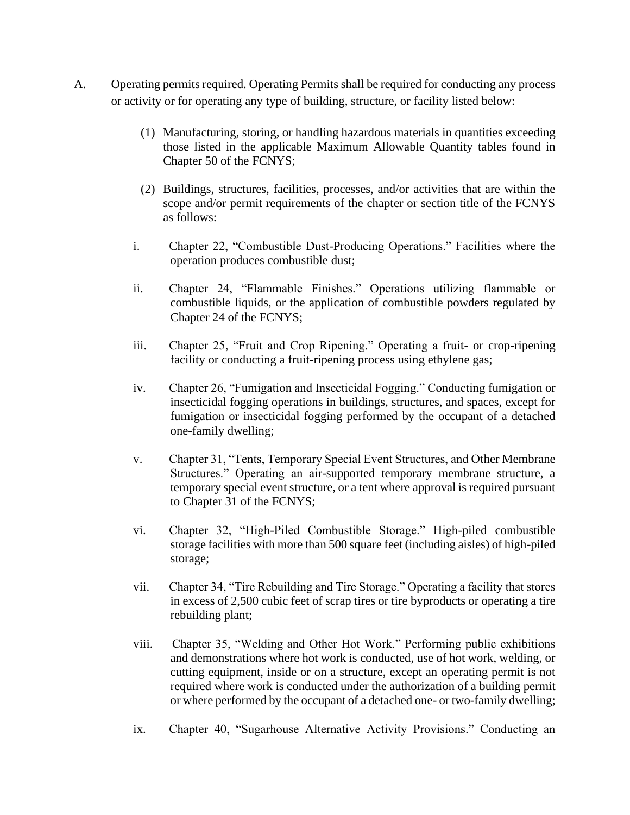- [A.](https://ecode360.com/13327908#13327908) Operating permits required. Operating Permits shall be required for conducting any process or activity or for operating any type of building, structure, or facility listed below:
	- (1) Manufacturing, storing, or handling hazardous materials in quantities exceeding those listed in the applicable Maximum Allowable Quantity tables found in Chapter 50 of the FCNYS;
	- (2) Buildings, structures, facilities, processes, and/or activities that are within the scope and/or permit requirements of the chapter or section title of the FCNYS as follows:
	- i. Chapter 22, "Combustible Dust-Producing Operations." Facilities where the operation produces combustible dust;
	- ii. Chapter 24, "Flammable Finishes." Operations utilizing flammable or combustible liquids, or the application of combustible powders regulated by Chapter 24 of the FCNYS;
	- iii. Chapter 25, "Fruit and Crop Ripening." Operating a fruit- or crop-ripening facility or conducting a fruit-ripening process using ethylene gas;
	- iv. Chapter 26, "Fumigation and Insecticidal Fogging." Conducting fumigation or insecticidal fogging operations in buildings, structures, and spaces, except for fumigation or insecticidal fogging performed by the occupant of a detached one-family dwelling;
	- v. Chapter 31, "Tents, Temporary Special Event Structures, and Other Membrane Structures." Operating an air-supported temporary membrane structure, a temporary special event structure, or a tent where approval is required pursuant to Chapter 31 of the FCNYS;
	- vi. Chapter 32, "High-Piled Combustible Storage." High-piled combustible storage facilities with more than 500 square feet (including aisles) of high-piled storage;
	- vii. Chapter 34, "Tire Rebuilding and Tire Storage." Operating a facility that stores in excess of 2,500 cubic feet of scrap tires or tire byproducts or operating a tire rebuilding plant;
	- viii. Chapter 35, "Welding and Other Hot Work." Performing public exhibitions and demonstrations where hot work is conducted, use of hot work, welding, or cutting equipment, inside or on a structure, except an operating permit is not required where work is conducted under the authorization of a building permit or where performed by the occupant of a detached one- or two-family dwelling;
	- ix. Chapter 40, "Sugarhouse Alternative Activity Provisions." Conducting an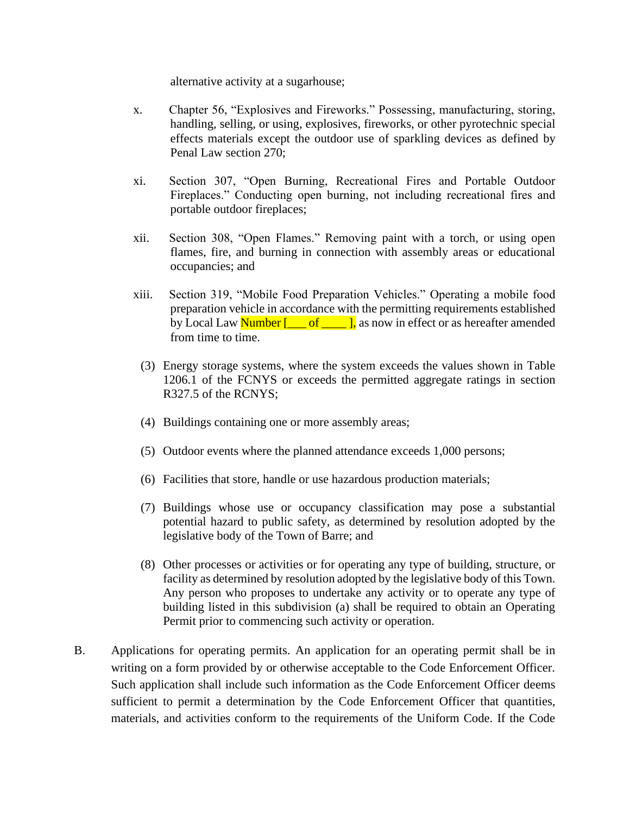alternative activity at a sugarhouse;

- x. Chapter 56, "Explosives and Fireworks." Possessing, manufacturing, storing, handling, selling, or using, explosives, fireworks, or other pyrotechnic special effects materials except the outdoor use of sparkling devices as defined by Penal Law section 270;
- xi. Section 307, "Open Burning, Recreational Fires and Portable Outdoor Fireplaces." Conducting open burning, not including recreational fires and portable outdoor fireplaces;
- xii. Section 308, "Open Flames." Removing paint with a torch, or using open flames, fire, and burning in connection with assembly areas or educational occupancies; and
- xiii. Section 319, "Mobile Food Preparation Vehicles." Operating a mobile food preparation vehicle in accordance with the permitting requirements established by Local Law  $\frac{\text{Number} \, [\_\_\_\text{off} \_\_\text{l}}{\text{as now in effect or as hereafter amended}}$ from time to time.
	- (3) Energy storage systems, where the system exceeds the values shown in Table 1206.1 of the FCNYS or exceeds the permitted aggregate ratings in section R327.5 of the RCNYS;
	- (4) Buildings containing one or more assembly areas;
	- (5) Outdoor events where the planned attendance exceeds 1,000 persons;
	- (6) Facilities that store, handle or use hazardous production materials;
	- (7) Buildings whose use or occupancy classification may pose a substantial potential hazard to public safety, as determined by resolution adopted by the legislative body of the Town of Barre; and
	- (8) Other processes or activities or for operating any type of building, structure, or facility as determined by resolution adopted by the legislative body of this Town. Any person who proposes to undertake any activity or to operate any type of building listed in this subdivision (a) shall be required to obtain an Operating Permit prior to commencing such activity or operation.
- [B.](https://ecode360.com/13327916#13327916) Applications for operating permits. An application for an operating permit shall be in writing on a form provided by or otherwise acceptable to the Code Enforcement Officer. Such application shall include such information as the Code Enforcement Officer deems sufficient to permit a determination by the Code Enforcement Officer that quantities, materials, and activities conform to the requirements of the Uniform Code. If the Code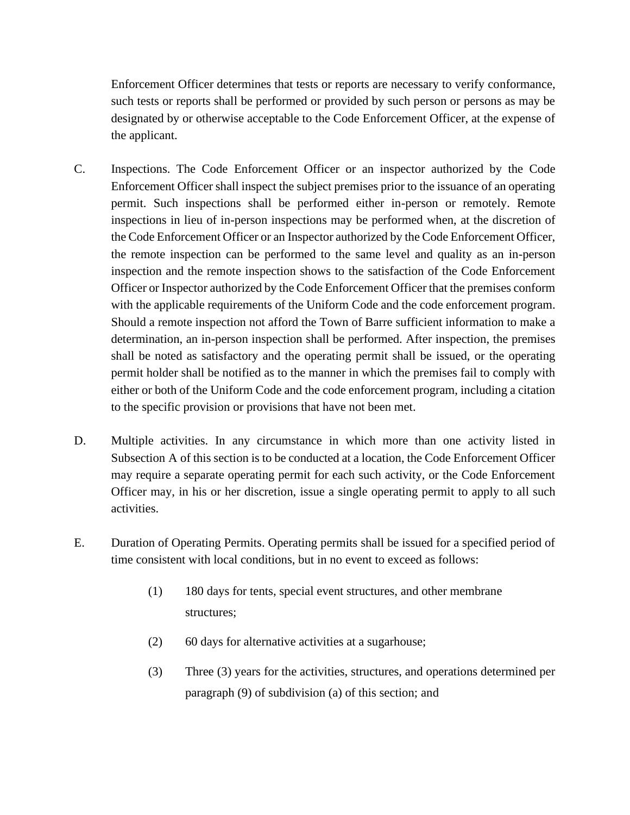Enforcement Officer determines that tests or reports are necessary to verify conformance, such tests or reports shall be performed or provided by such person or persons as may be designated by or otherwise acceptable to the Code Enforcement Officer, at the expense of the applicant.

- [C.](https://ecode360.com/13327917#13327917) Inspections. The Code Enforcement Officer or an inspector authorized by the Code Enforcement Officer shall inspect the subject premises prior to the issuance of an operating permit. Such inspections shall be performed either in-person or remotely. Remote inspections in lieu of in-person inspections may be performed when, at the discretion of the Code Enforcement Officer or an Inspector authorized by the Code Enforcement Officer, the remote inspection can be performed to the same level and quality as an in-person inspection and the remote inspection shows to the satisfaction of the Code Enforcement Officer or Inspector authorized by the Code Enforcement Officer that the premises conform with the applicable requirements of the Uniform Code and the code enforcement program. Should a remote inspection not afford the Town of Barre sufficient information to make a determination, an in-person inspection shall be performed. After inspection, the premises shall be noted as satisfactory and the operating permit shall be issued, or the operating permit holder shall be notified as to the manner in which the premises fail to comply with either or both of the Uniform Code and the code enforcement program, including a citation to the specific provision or provisions that have not been met.
- [D.](https://ecode360.com/13327918#13327918) Multiple activities. In any circumstance in which more than one activity listed in Subsection [A](https://ecode360.com/13327908#13327908) of this section is to be conducted at a location, the Code Enforcement Officer may require a separate operating permit for each such activity, or the Code Enforcement Officer may, in his or her discretion, issue a single operating permit to apply to all such activities.
- [E.](https://ecode360.com/13327919#13327919) Duration of Operating Permits. Operating permits shall be issued for a specified period of time consistent with local conditions, but in no event to exceed as follows:
	- (1) 180 days for tents, special event structures, and other membrane structures;
	- (2) 60 days for alternative activities at a sugarhouse;
	- (3) Three (3) years for the activities, structures, and operations determined per paragraph (9) of subdivision (a) of this section; and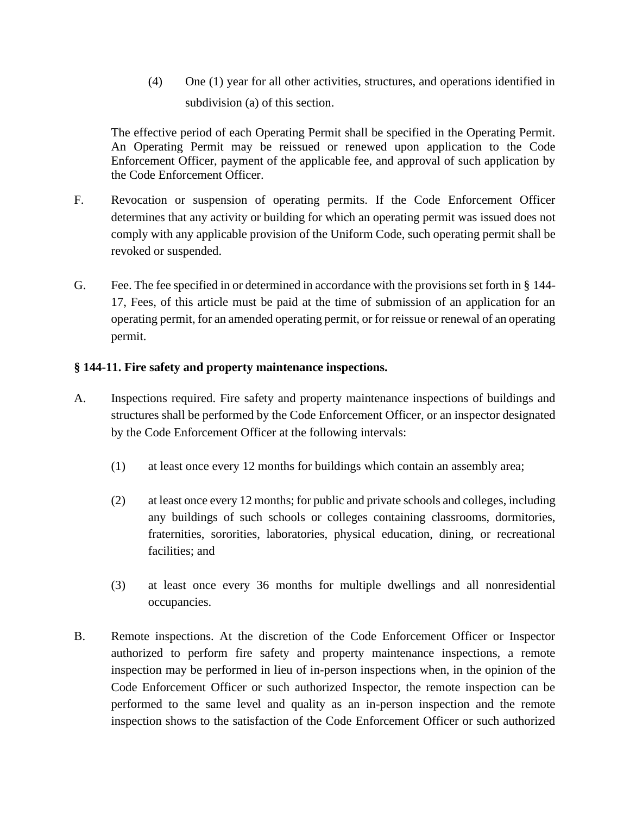(4) One (1) year for all other activities, structures, and operations identified in subdivision (a) of this section.

The effective period of each Operating Permit shall be specified in the Operating Permit. An Operating Permit may be reissued or renewed upon application to the Code Enforcement Officer, payment of the applicable fee, and approval of such application by the Code Enforcement Officer.

- [F.](https://ecode360.com/13327920#13327920) Revocation or suspension of operating permits. If the Code Enforcement Officer determines that any activity or building for which an operating permit was issued does not comply with any applicable provision of the Uniform Code, such operating permit shall be revoked or suspended.
- [G.](https://ecode360.com/13327921#13327921) Fee. The fee specified in or determined in accordance with the provisions set forth in § [144-](https://ecode360.com/13327927#13327927) [17](https://ecode360.com/13327927#13327927), Fees, of this article must be paid at the time of submission of an application for an operating permit, for an amended operating permit, or for reissue or renewal of an operating permit.

## **§ 144-11. Fire [safety and property maintenance inspections.](https://ecode360.com/13202932#13327922)**

- [A.](https://ecode360.com/13327929#13327929) Inspections required. Fire safety and property maintenance inspections of buildings and structures shall be performed by the Code Enforcement Officer, or an inspector designated by the Code Enforcement Officer at the following intervals:
	- [\(1\)](https://ecode360.com/13327930#13327930) at least once every 12 months for buildings which contain an assembly area;
	- [\(2\)](https://ecode360.com/13327931#13327931) at least once every 12 months; for public and private schools and colleges, including any buildings of such schools or colleges containing classrooms, dormitories, fraternities, sororities, laboratories, physical education, dining, or recreational facilities; and
	- [\(3\)](https://ecode360.com/13327932#13327932) at least once every 36 months for multiple dwellings and all nonresidential occupancies.
- [B.](https://ecode360.com/13327933#13327933) Remote inspections. At the discretion of the Code Enforcement Officer or Inspector authorized to perform fire safety and property maintenance inspections, a remote inspection may be performed in lieu of in-person inspections when, in the opinion of the Code Enforcement Officer or such authorized Inspector, the remote inspection can be performed to the same level and quality as an in-person inspection and the remote inspection shows to the satisfaction of the Code Enforcement Officer or such authorized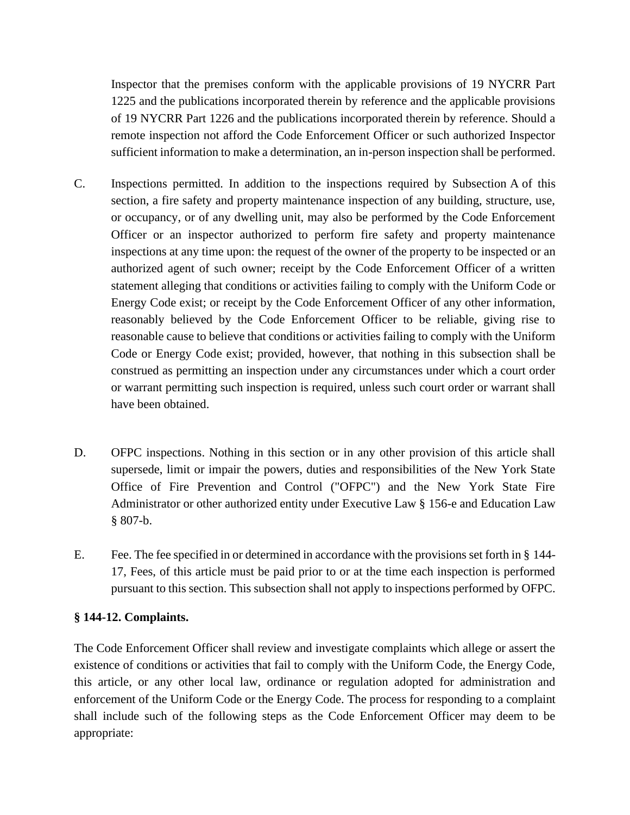Inspector that the premises conform with the applicable provisions of 19 NYCRR Part 1225 and the publications incorporated therein by reference and the applicable provisions of 19 NYCRR Part 1226 and the publications incorporated therein by reference. Should a remote inspection not afford the Code Enforcement Officer or such authorized Inspector sufficient information to make a determination, an in-person inspection shall be performed.

- C. Inspections permitted. In addition to the inspections required by Subsection [A](https://ecode360.com/13327929#13327929) of this section, a fire safety and property maintenance inspection of any building, structure, use, or occupancy, or of any dwelling unit, may also be performed by the Code Enforcement Officer or an inspector authorized to perform fire safety and property maintenance inspections at any time upon: the request of the owner of the property to be inspected or an authorized agent of such owner; receipt by the Code Enforcement Officer of a written statement alleging that conditions or activities failing to comply with the Uniform Code or Energy Code exist; or receipt by the Code Enforcement Officer of any other information, reasonably believed by the Code Enforcement Officer to be reliable, giving rise to reasonable cause to believe that conditions or activities failing to comply with the Uniform Code or Energy Code exist; provided, however, that nothing in this subsection shall be construed as permitting an inspection under any circumstances under which a court order or warrant permitting such inspection is required, unless such court order or warrant shall have been obtained.
- [D.](https://ecode360.com/13327934#13327934) OFPC inspections. Nothing in this section or in any other provision of this article shall supersede, limit or impair the powers, duties and responsibilities of the New York State Office of Fire Prevention and Control ("OFPC") and the New York State Fire Administrator or other authorized entity under Executive Law § 156-e and Education Law § 807-b.
- [E.](https://ecode360.com/13327935#13327935) Fee. The fee specified in or determined in accordance with the provisions set forth in § [144-](https://ecode360.com/13327927#13327927) [17](https://ecode360.com/13327927#13327927), Fees, of this article must be paid prior to or at the time each inspection is performed pursuant to this section. This subsection shall not apply to inspections performed by OFPC.

## **§ 144-12. [Complaints.](https://ecode360.com/13202932#13327923)**

The Code Enforcement Officer shall review and investigate complaints which allege or assert the existence of conditions or activities that fail to comply with the Uniform Code, the Energy Code, this article, or any other local law, ordinance or regulation adopted for administration and enforcement of the Uniform Code or the Energy Code. The process for responding to a complaint shall include such of the following steps as the Code Enforcement Officer may deem to be appropriate: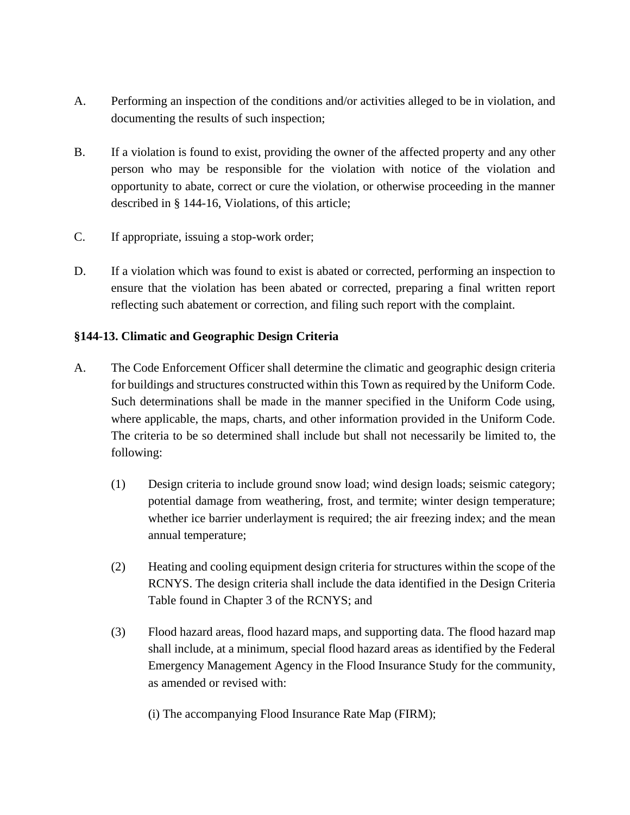- [A.](https://ecode360.com/13327937#13327937) Performing an inspection of the conditions and/or activities alleged to be in violation, and documenting the results of such inspection;
- [B.](https://ecode360.com/13327938#13327938) If a violation is found to exist, providing the owner of the affected property and any other person who may be responsible for the violation with notice of the violation and opportunity to abate, correct or cure the violation, or otherwise proceeding in the manner described in § [144-16](https://ecode360.com/13327926#13327926), Violations, of this article;
- [C.](https://ecode360.com/13327939#13327939) If appropriate, issuing a stop-work order;
- [D.](https://ecode360.com/13327940#13327940) If a violation which was found to exist is abated or corrected, performing an inspection to ensure that the violation has been abated or corrected, preparing a final written report reflecting such abatement or correction, and filing such report with the complaint.

# **§144-13. Climatic and Geographic Design Criteria**

- A. The Code Enforcement Officer shall determine the climatic and geographic design criteria for buildings and structures constructed within this Town as required by the Uniform Code. Such determinations shall be made in the manner specified in the Uniform Code using, where applicable, the maps, charts, and other information provided in the Uniform Code. The criteria to be so determined shall include but shall not necessarily be limited to, the following:
	- (1) Design criteria to include ground snow load; wind design loads; seismic category; potential damage from weathering, frost, and termite; winter design temperature; whether ice barrier underlayment is required; the air freezing index; and the mean annual temperature;
	- (2) Heating and cooling equipment design criteria for structures within the scope of the RCNYS. The design criteria shall include the data identified in the Design Criteria Table found in Chapter 3 of the RCNYS; and
	- (3) Flood hazard areas, flood hazard maps, and supporting data. The flood hazard map shall include, at a minimum, special flood hazard areas as identified by the Federal Emergency Management Agency in the Flood Insurance Study for the community, as amended or revised with:
		- (i) The accompanying Flood Insurance Rate Map (FIRM);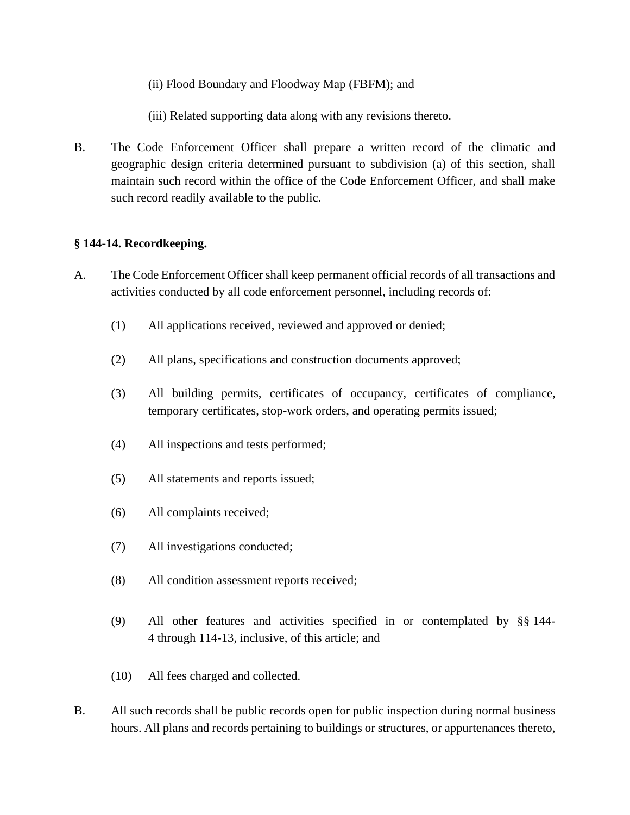(ii) Flood Boundary and Floodway Map (FBFM); and

(iii) Related supporting data along with any revisions thereto.

B. The Code Enforcement Officer shall prepare a written record of the climatic and geographic design criteria determined pursuant to subdivision (a) of this section, shall maintain such record within the office of the Code Enforcement Officer, and shall make such record readily available to the public.

## **§ 144-14. [Recordkeeping.](https://ecode360.com/13202932#13327924)**

- [A.](https://ecode360.com/13327941#13327941) The Code Enforcement Officer shall keep permanent official records of all transactions and activities conducted by all code enforcement personnel, including records of:
	- [\(1\)](https://ecode360.com/13327942#13327942) All applications received, reviewed and approved or denied;
	- [\(2\)](https://ecode360.com/13327943#13327943) All plans, specifications and construction documents approved;
	- [\(3\)](https://ecode360.com/13327944#13327944) All building permits, certificates of occupancy, certificates of compliance, temporary certificates, stop-work orders, and operating permits issued;
	- [\(4\)](https://ecode360.com/13327945#13327945) All inspections and tests performed;
	- [\(5\)](https://ecode360.com/13327946#13327946) All statements and reports issued;
	- [\(6\)](https://ecode360.com/13327947#13327947) All complaints received;
	- [\(7\)](https://ecode360.com/13327948#13327948) All investigations conducted;
	- (8) All condition assessment reports received;
	- (9) All other features and activities specified in or contemplated by §§ [144-](https://ecode360.com/13202954#13202954) [4](https://ecode360.com/13202954#13202954) through 114-13, inclusive, of this article; and
	- [\(10\)](https://ecode360.com/13327950#13327950) All fees charged and collected.
- [B.](https://ecode360.com/13327951#13327951) All such records shall be public records open for public inspection during normal business hours. All plans and records pertaining to buildings or structures, or appurtenances thereto,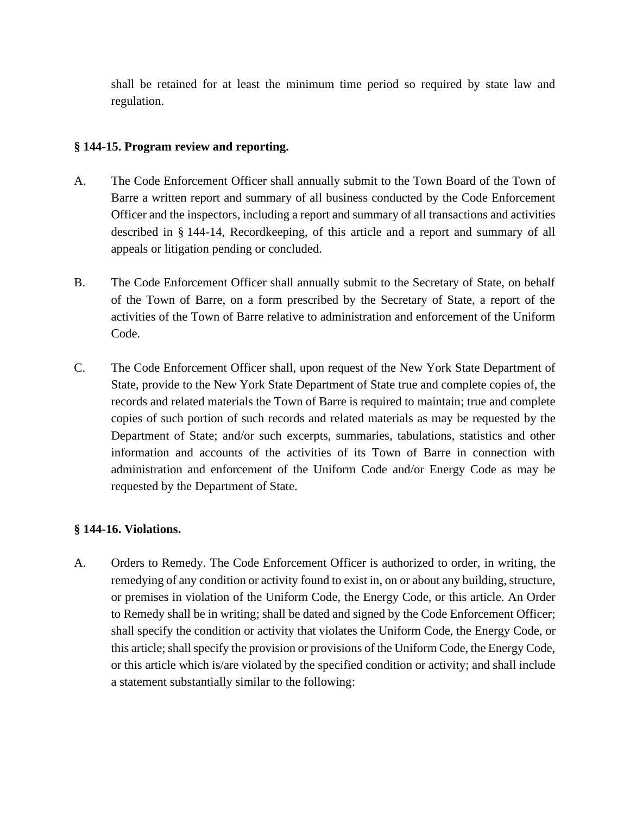shall be retained for at least the minimum time period so required by state law and regulation.

### **§ 144-15. [Program review and reporting.](https://ecode360.com/13202932#13327925)**

- [A.](https://ecode360.com/13327952#13327952) The Code Enforcement Officer shall annually submit to the Town Board of the Town of Barre a written report and summary of all business conducted by the Code Enforcement Officer and the inspectors, including a report and summary of all transactions and activities described in § [144-14](https://ecode360.com/13327924#13327924), Recordkeeping, of this article and a report and summary of all appeals or litigation pending or concluded.
- [B.](https://ecode360.com/13327953#13327953) The Code Enforcement Officer shall annually submit to the Secretary of State, on behalf of the Town of Barre, on a form prescribed by the Secretary of State, a report of the activities of the Town of Barre relative to administration and enforcement of the Uniform Code.
- [C.](https://ecode360.com/13327954#13327954) The Code Enforcement Officer shall, upon request of the New York State Department of State, provide to the New York State Department of State true and complete copies of, the records and related materials the Town of Barre is required to maintain; true and complete copies of such portion of such records and related materials as may be requested by the Department of State; and/or such excerpts, summaries, tabulations, statistics and other information and accounts of the activities of its Town of Barre in connection with administration and enforcement of the Uniform Code and/or Energy Code as may be requested by the Department of State.

### **§ [144-16.](https://ecode360.com/13202932#13327926) Violations.**

[A.](https://ecode360.com/13327957#13327957) Orders to Remedy. The Code Enforcement Officer is authorized to order, in writing, the remedying of any condition or activity found to exist in, on or about any building, structure, or premises in violation of the Uniform Code, the Energy Code, or this article. An Order to Remedy shall be in writing; shall be dated and signed by the Code Enforcement Officer; shall specify the condition or activity that violates the Uniform Code, the Energy Code, or this article; shall specify the provision or provisions of the Uniform Code, the Energy Code, or this article which is/are violated by the specified condition or activity; and shall include a statement substantially similar to the following: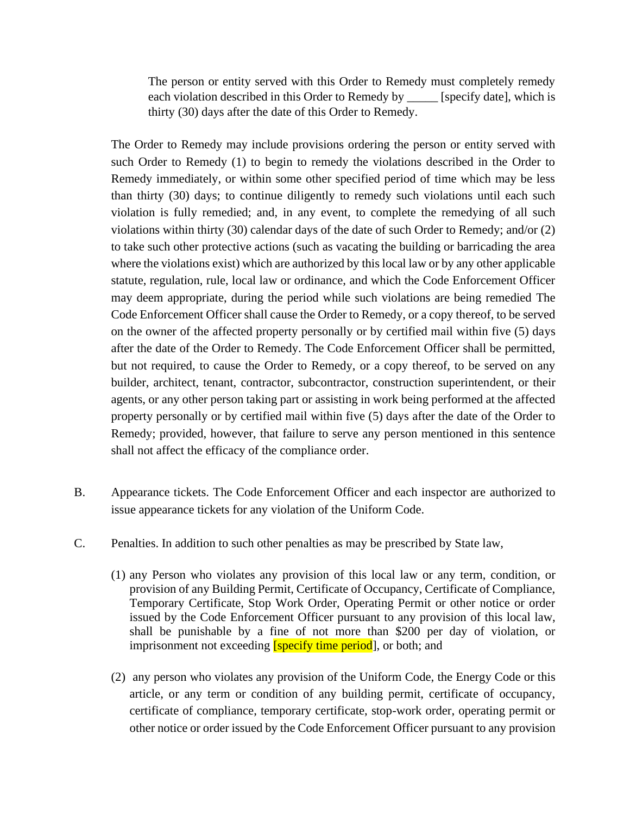The person or entity served with this Order to Remedy must completely remedy each violation described in this Order to Remedy by \_\_\_\_\_ [specify date], which is thirty (30) days after the date of this Order to Remedy.

The Order to Remedy may include provisions ordering the person or entity served with such Order to Remedy (1) to begin to remedy the violations described in the Order to Remedy immediately, or within some other specified period of time which may be less than thirty (30) days; to continue diligently to remedy such violations until each such violation is fully remedied; and, in any event, to complete the remedying of all such violations within thirty (30) calendar days of the date of such Order to Remedy; and/or (2) to take such other protective actions (such as vacating the building or barricading the area where the violations exist) which are authorized by this local law or by any other applicable statute, regulation, rule, local law or ordinance, and which the Code Enforcement Officer may deem appropriate, during the period while such violations are being remedied The Code Enforcement Officer shall cause the Order to Remedy, or a copy thereof, to be served on the owner of the affected property personally or by certified mail within five (5) days after the date of the Order to Remedy. The Code Enforcement Officer shall be permitted, but not required, to cause the Order to Remedy, or a copy thereof, to be served on any builder, architect, tenant, contractor, subcontractor, construction superintendent, or their agents, or any other person taking part or assisting in work being performed at the affected property personally or by certified mail within five (5) days after the date of the Order to Remedy; provided, however, that failure to serve any person mentioned in this sentence shall not affect the efficacy of the compliance order.

- B. Appearance tickets. The Code Enforcement Officer and each inspector are authorized to issue appearance tickets for any violation of the Uniform Code.
- C. Penalties. In addition to such other penalties as may be prescribed by State law,
	- (1) any Person who violates any provision of this local law or any term, condition, or provision of any Building Permit, Certificate of Occupancy, Certificate of Compliance, Temporary Certificate, Stop Work Order, Operating Permit or other notice or order issued by the Code Enforcement Officer pursuant to any provision of this local law, shall be punishable by a fine of not more than \$200 per day of violation, or imprisonment not exceeding **[specify time period**], or both; and
	- (2) any person who violates any provision of the Uniform Code, the Energy Code or this article, or any term or condition of any building permit, certificate of occupancy, certificate of compliance, temporary certificate, stop-work order, operating permit or other notice or order issued by the Code Enforcement Officer pursuant to any provision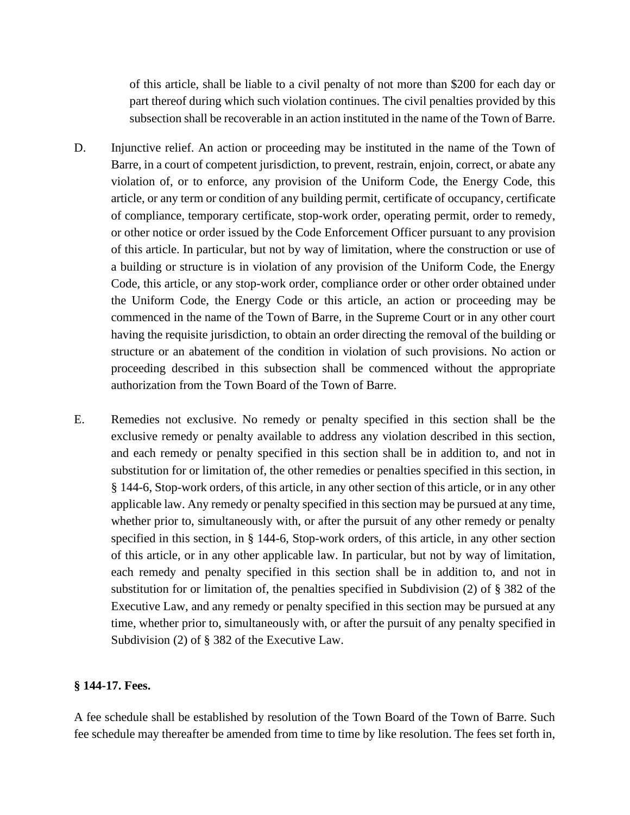of this article, shall be liable to a civil penalty of not more than \$200 for each day or part thereof during which such violation continues. The civil penalties provided by this subsection shall be recoverable in an action instituted in the name of the Town of Barre.

- D. Injunctive relief. An action or proceeding may be instituted in the name of the Town of Barre, in a court of competent jurisdiction, to prevent, restrain, enjoin, correct, or abate any violation of, or to enforce, any provision of the Uniform Code, the Energy Code, this article, or any term or condition of any building permit, certificate of occupancy, certificate of compliance, temporary certificate, stop-work order, operating permit, order to remedy, or other notice or order issued by the Code Enforcement Officer pursuant to any provision of this article. In particular, but not by way of limitation, where the construction or use of a building or structure is in violation of any provision of the Uniform Code, the Energy Code, this article, or any stop-work order, compliance order or other order obtained under the Uniform Code, the Energy Code or this article, an action or proceeding may be commenced in the name of the Town of Barre, in the Supreme Court or in any other court having the requisite jurisdiction, to obtain an order directing the removal of the building or structure or an abatement of the condition in violation of such provisions. No action or proceeding described in this subsection shall be commenced without the appropriate authorization from the Town Board of the Town of Barre.
- E. Remedies not exclusive. No remedy or penalty specified in this section shall be the exclusive remedy or penalty available to address any violation described in this section, and each remedy or penalty specified in this section shall be in addition to, and not in substitution for or limitation of, the other remedies or penalties specified in this section, in § 144-6, Stop-work orders, of this article, in any other section of this article, or in any other applicable law. Any remedy or penalty specified in this section may be pursued at any time, whether prior to, simultaneously with, or after the pursuit of any other remedy or penalty specified in this section, in § 144-6, Stop-work orders, of this article, in any other section of this article, or in any other applicable law. In particular, but not by way of limitation, each remedy and penalty specified in this section shall be in addition to, and not in substitution for or limitation of, the penalties specified in Subdivision (2) of § 382 of the Executive Law, and any remedy or penalty specified in this section may be pursued at any time, whether prior to, simultaneously with, or after the pursuit of any penalty specified in Subdivision (2) of § 382 of the Executive Law.

#### **§ 144-17. Fees.**

A fee schedule shall be established by resolution of the Town Board of the Town of Barre. Such fee schedule may thereafter be amended from time to time by like resolution. The fees set forth in,